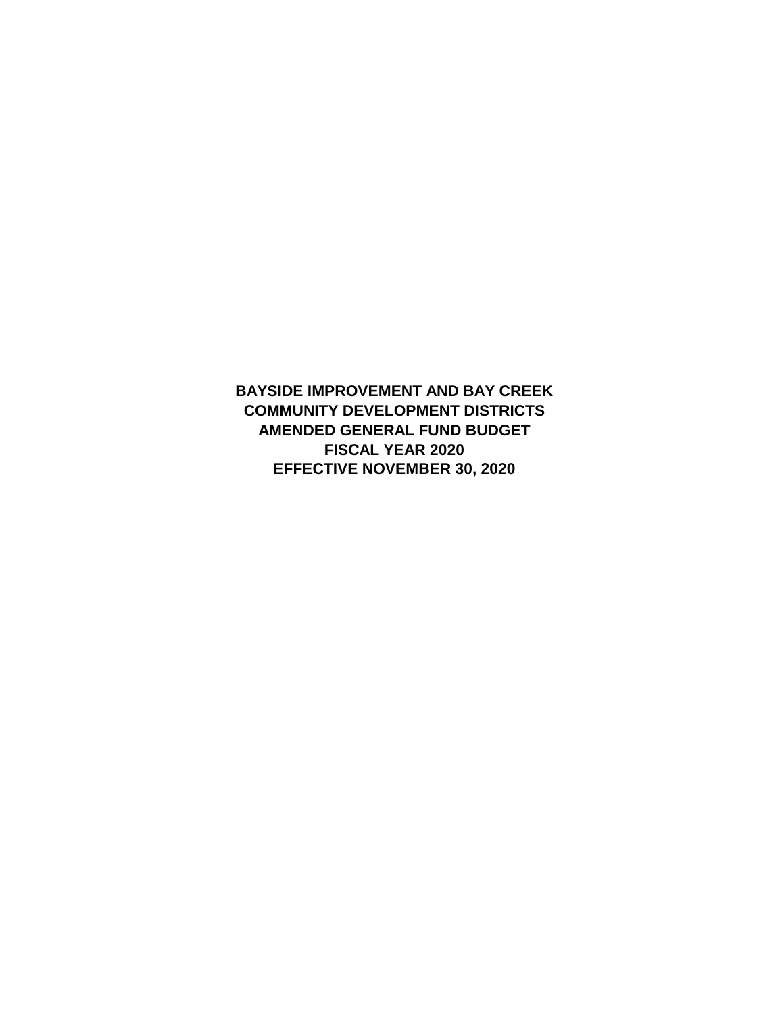**BAYSIDE IMPROVEMENT AND BAY CREEK COMMUNITY DEVELOPMENT DISTRICTS AMENDED GENERAL FUND BUDGET FISCAL YEAR 2020 EFFECTIVE NOVEMBER 30, 2020**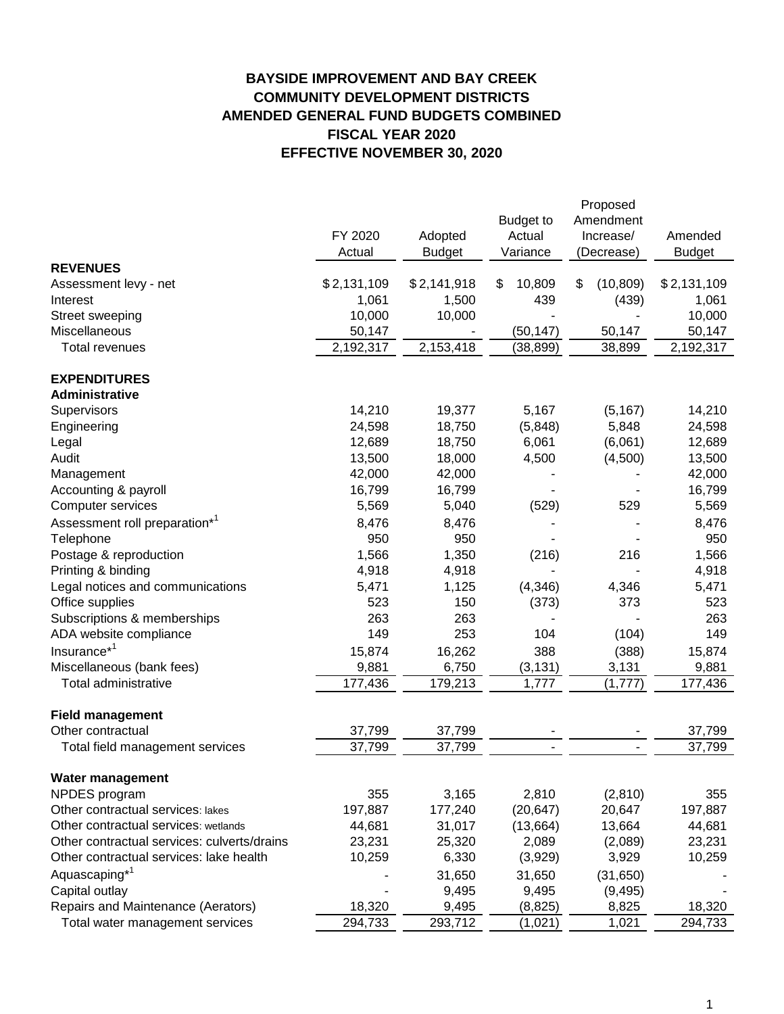# **BAYSIDE IMPROVEMENT AND BAY CREEK COMMUNITY DEVELOPMENT DISTRICTS AMENDED GENERAL FUND BUDGETS COMBINED FISCAL YEAR 2020 EFFECTIVE NOVEMBER 30, 2020**

|                                             | FY 2020<br>Actual | Adopted<br><b>Budget</b> | <b>Budget to</b><br>Actual<br>Variance | Proposed<br>Amendment<br>Increase/<br>(Decrease) | Amended<br><b>Budget</b> |
|---------------------------------------------|-------------------|--------------------------|----------------------------------------|--------------------------------------------------|--------------------------|
| <b>REVENUES</b>                             |                   |                          |                                        |                                                  |                          |
| Assessment levy - net                       | \$2,131,109       | \$2,141,918              | \$<br>10,809                           | \$<br>(10, 809)                                  | \$2,131,109              |
| Interest                                    | 1,061             | 1,500                    | 439                                    | (439)                                            | 1,061                    |
| Street sweeping                             | 10,000            | 10,000                   |                                        |                                                  | 10,000                   |
| Miscellaneous                               | 50,147            |                          | (50, 147)                              | 50,147                                           | 50,147                   |
| <b>Total revenues</b>                       | 2,192,317         | 2,153,418                | (38, 899)                              | 38,899                                           | 2,192,317                |
| <b>EXPENDITURES</b>                         |                   |                          |                                        |                                                  |                          |
| Administrative                              |                   |                          |                                        |                                                  |                          |
| Supervisors                                 | 14,210            | 19,377                   | 5,167                                  | (5, 167)                                         | 14,210                   |
| Engineering                                 | 24,598            | 18,750                   | (5,848)                                | 5,848                                            | 24,598                   |
| Legal                                       | 12,689            | 18,750                   | 6,061                                  | (6,061)                                          | 12,689                   |
| Audit                                       | 13,500            | 18,000                   | 4,500                                  | (4,500)                                          | 13,500                   |
| Management                                  | 42,000            | 42,000                   |                                        |                                                  | 42,000                   |
| Accounting & payroll                        | 16,799            | 16,799                   |                                        |                                                  | 16,799                   |
| Computer services                           | 5,569             | 5,040                    | (529)                                  | 529                                              | 5,569                    |
| Assessment roll preparation* <sup>1</sup>   | 8,476             | 8,476                    |                                        |                                                  | 8,476                    |
| Telephone                                   | 950               | 950                      |                                        |                                                  | 950                      |
| Postage & reproduction                      | 1,566             | 1,350                    | (216)                                  | 216                                              | 1,566                    |
| Printing & binding                          | 4,918             | 4,918                    |                                        |                                                  | 4,918                    |
| Legal notices and communications            | 5,471             | 1,125                    | (4, 346)                               | 4,346                                            | 5,471                    |
| Office supplies                             | 523               | 150                      | (373)                                  | 373                                              | 523                      |
| Subscriptions & memberships                 | 263               | 263                      |                                        |                                                  | 263                      |
| ADA website compliance                      | 149               | 253                      | 104                                    | (104)                                            | 149                      |
| Insurance <sup>*1</sup>                     | 15,874            | 16,262                   | 388                                    | (388)                                            | 15,874                   |
| Miscellaneous (bank fees)                   | 9,881             | 6,750                    | (3, 131)                               | 3,131                                            | 9,881                    |
| Total administrative                        | 177,436           | 179,213                  | 1,777                                  | (1,777)                                          | 177,436                  |
| <b>Field management</b>                     |                   |                          |                                        |                                                  |                          |
| Other contractual                           | 37,799            | 37,799                   |                                        |                                                  | 37,799                   |
| Total field management services             | 37,799            | 37,799                   |                                        |                                                  | 37,799                   |
| <b>Water management</b>                     |                   |                          |                                        |                                                  |                          |
| NPDES program                               | 355               | 3,165                    | 2,810                                  | (2,810)                                          | 355                      |
| Other contractual services: lakes           | 197,887           | 177,240                  | (20, 647)                              | 20,647                                           | 197,887                  |
| Other contractual services: wetlands        | 44,681            | 31,017                   | (13,664)                               | 13,664                                           | 44,681                   |
| Other contractual services: culverts/drains | 23,231            | 25,320                   | 2,089                                  | (2,089)                                          | 23,231                   |
| Other contractual services: lake health     | 10,259            | 6,330                    | (3,929)                                | 3,929                                            | 10,259                   |
| Aquascaping <sup>*1</sup>                   |                   | 31,650                   | 31,650                                 | (31, 650)                                        |                          |
| Capital outlay                              |                   | 9,495                    | 9,495                                  | (9, 495)                                         |                          |
| Repairs and Maintenance (Aerators)          | 18,320            | 9,495                    | (8, 825)                               | 8,825                                            | 18,320                   |
| Total water management services             | 294,733           | 293,712                  | (1,021)                                | 1,021                                            | 294,733                  |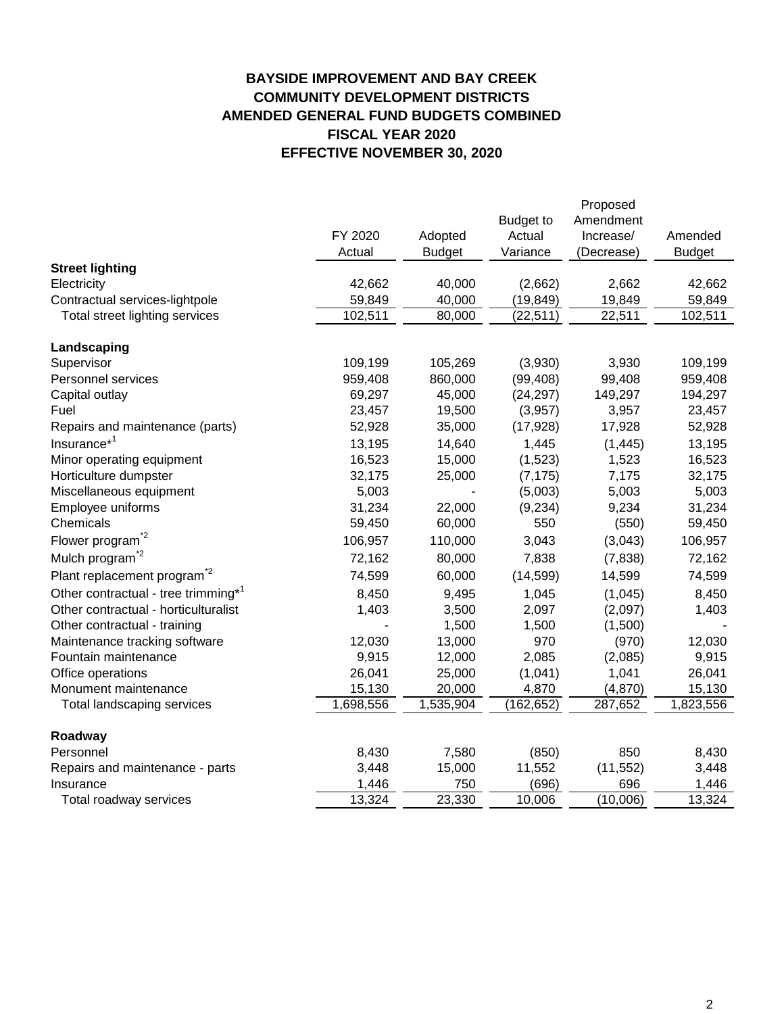# **BAYSIDE IMPROVEMENT AND BAY CREEK COMMUNITY DEVELOPMENT DISTRICTS AMENDED GENERAL FUND BUDGETS COMBINED FISCAL YEAR 2020 EFFECTIVE NOVEMBER 30, 2020**

|                                                 |           |               |                  | Proposed   |               |
|-------------------------------------------------|-----------|---------------|------------------|------------|---------------|
|                                                 |           |               | <b>Budget to</b> | Amendment  |               |
|                                                 | FY 2020   | Adopted       | Actual           | Increase/  | Amended       |
|                                                 | Actual    | <b>Budget</b> | Variance         | (Decrease) | <b>Budget</b> |
| <b>Street lighting</b>                          |           |               |                  |            |               |
| Electricity                                     | 42,662    | 40,000        | (2,662)          | 2,662      | 42,662        |
| Contractual services-lightpole                  | 59,849    | 40,000        | (19, 849)        | 19,849     | 59,849        |
| Total street lighting services                  | 102,511   | 80,000        | (22, 511)        | 22,511     | 102,511       |
| Landscaping                                     |           |               |                  |            |               |
| Supervisor                                      | 109,199   | 105,269       | (3,930)          | 3,930      | 109,199       |
| Personnel services                              | 959,408   | 860,000       | (99, 408)        | 99,408     | 959,408       |
| Capital outlay                                  | 69,297    | 45,000        | (24, 297)        | 149,297    | 194,297       |
| Fuel                                            | 23,457    | 19,500        | (3,957)          | 3,957      | 23,457        |
| Repairs and maintenance (parts)                 | 52,928    | 35,000        | (17, 928)        | 17,928     | 52,928        |
| Insurance <sup>*1</sup>                         | 13,195    | 14,640        | 1,445            | (1, 445)   | 13,195        |
| Minor operating equipment                       | 16,523    | 15,000        | (1,523)          | 1,523      | 16,523        |
| Horticulture dumpster                           | 32,175    | 25,000        | (7, 175)         | 7,175      | 32,175        |
| Miscellaneous equipment                         | 5,003     |               | (5,003)          | 5,003      | 5,003         |
| Employee uniforms                               | 31,234    | 22,000        | (9, 234)         | 9,234      | 31,234        |
| Chemicals                                       | 59,450    | 60,000        | 550              | (550)      | 59,450        |
| Flower program <sup>*2</sup>                    | 106,957   | 110,000       | 3,043            | (3,043)    | 106,957       |
| Mulch program <sup>2</sup>                      | 72,162    | 80,000        | 7,838            | (7,838)    | 72,162        |
| Plant replacement program <sup>2</sup>          | 74,599    | 60,000        | (14, 599)        | 14,599     | 74,599        |
| Other contractual - tree trimming <sup>*1</sup> | 8,450     | 9,495         | 1,045            | (1,045)    | 8,450         |
| Other contractual - horticulturalist            | 1,403     | 3,500         | 2,097            | (2,097)    | 1,403         |
| Other contractual - training                    |           | 1,500         | 1,500            | (1,500)    |               |
| Maintenance tracking software                   | 12,030    | 13,000        | 970              | (970)      | 12,030        |
| Fountain maintenance                            | 9,915     | 12,000        | 2,085            | (2,085)    | 9,915         |
| Office operations                               | 26,041    | 25,000        | (1,041)          | 1,041      | 26,041        |
| Monument maintenance                            | 15,130    | 20,000        | 4,870            | (4,870)    | 15,130        |
| Total landscaping services                      | 1,698,556 | 1,535,904     | (162, 652)       | 287,652    | 1,823,556     |
| Roadway                                         |           |               |                  |            |               |
| Personnel                                       | 8,430     | 7,580         | (850)            | 850        | 8,430         |
| Repairs and maintenance - parts                 | 3,448     | 15,000        | 11,552           | (11, 552)  | 3,448         |
| Insurance                                       | 1,446     | 750           | (696)            | 696        | 1,446         |
| Total roadway services                          | 13,324    | 23,330        | 10,006           | (10,006)   | 13,324        |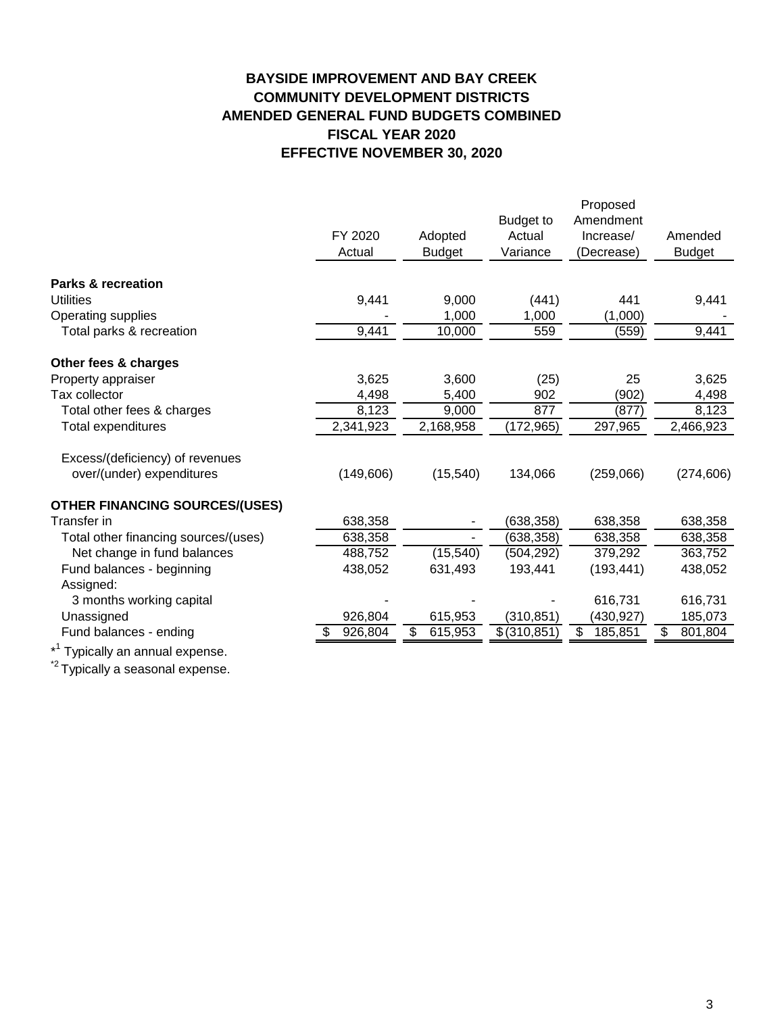# **BAYSIDE IMPROVEMENT AND BAY CREEK COMMUNITY DEVELOPMENT DISTRICTS AMENDED GENERAL FUND BUDGETS COMBINED FISCAL YEAR 2020 EFFECTIVE NOVEMBER 30, 2020**

|                                             | FY 2020<br>Actual | Adopted<br><b>Budget</b> | <b>Budget to</b><br>Actual<br>Variance | Proposed<br>Amendment<br>Increase/<br>(Decrease) | Amended<br><b>Budget</b> |
|---------------------------------------------|-------------------|--------------------------|----------------------------------------|--------------------------------------------------|--------------------------|
|                                             |                   |                          |                                        |                                                  |                          |
| <b>Parks &amp; recreation</b>               |                   |                          |                                        |                                                  |                          |
| <b>Utilities</b>                            | 9,441             | 9,000                    | (441)                                  | 441                                              | 9,441                    |
| Operating supplies                          |                   | 1,000                    | 1,000                                  | (1,000)                                          |                          |
| Total parks & recreation                    | 9,441             | 10,000                   | 559                                    | (559)                                            | 9,441                    |
| Other fees & charges                        |                   |                          |                                        |                                                  |                          |
| Property appraiser                          | 3,625             | 3,600                    | (25)                                   | 25                                               | 3,625                    |
| Tax collector                               | 4,498             | 5,400                    | 902                                    | (902)                                            | 4,498                    |
| Total other fees & charges                  | 8,123             | 9,000                    | 877                                    | (877)                                            | 8,123                    |
| Total expenditures                          | 2,341,923         | 2,168,958                | (172, 965)                             | 297,965                                          | 2,466,923                |
| Excess/(deficiency) of revenues             |                   |                          |                                        |                                                  |                          |
| over/(under) expenditures                   | (149, 606)        | (15, 540)                | 134,066                                | (259,066)                                        | (274, 606)               |
| <b>OTHER FINANCING SOURCES/(USES)</b>       |                   |                          |                                        |                                                  |                          |
| Transfer in                                 | 638,358           | ۰                        | (638, 358)                             | 638,358                                          | 638,358                  |
| Total other financing sources/(uses)        | 638,358           | $\sim$                   | (638, 358)                             | 638,358                                          | 638,358                  |
| Net change in fund balances                 | 488,752           | (15, 540)                | (504, 292)                             | 379,292                                          | 363,752                  |
| Fund balances - beginning                   | 438,052           | 631,493                  | 193,441                                | (193, 441)                                       | 438,052                  |
| Assigned:                                   |                   |                          |                                        |                                                  |                          |
| 3 months working capital                    |                   |                          |                                        | 616,731                                          | 616,731                  |
| Unassigned                                  | 926,804           | 615,953                  | (310, 851)                             | (430, 927)                                       | 185,073                  |
| Fund balances - ending                      | 926,804           | \$<br>615,953            | \$ (310, 851)                          | \$<br>185,851                                    | \$<br>801,804            |
| * <sup>1</sup> Typically an annual expense. |                   |                          |                                        |                                                  |                          |

\*<sup>2</sup> Typically a seasonal expense.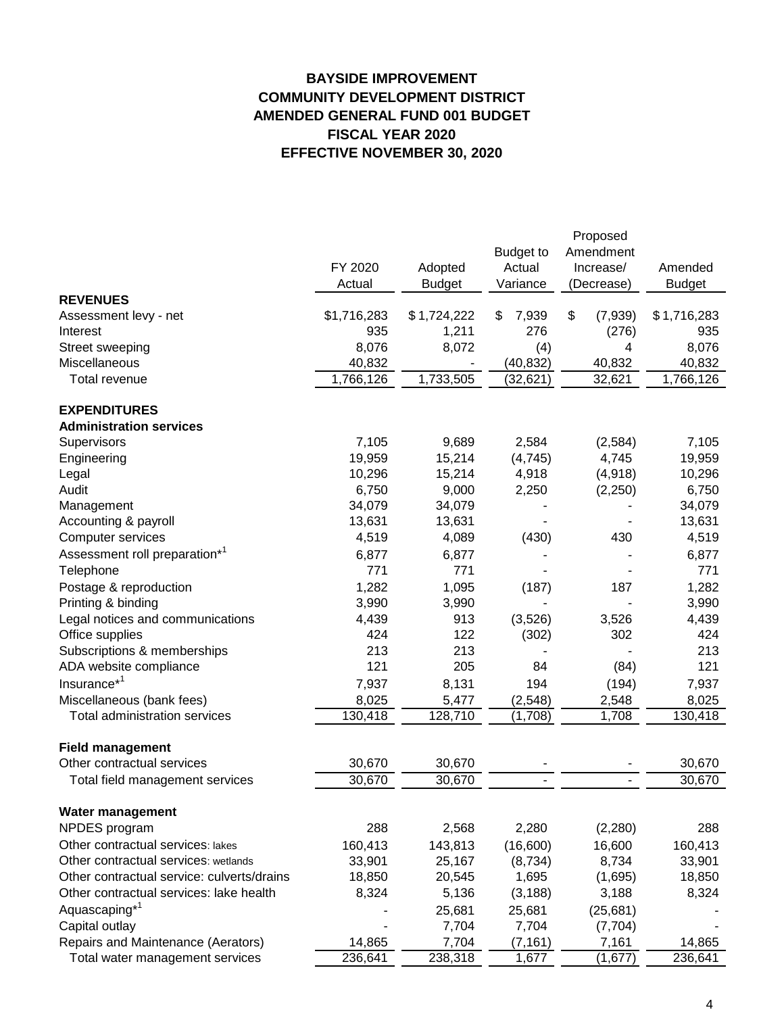# **BAYSIDE IMPROVEMENT COMMUNITY DEVELOPMENT DISTRICT AMENDED GENERAL FUND 001 BUDGET FISCAL YEAR 2020 EFFECTIVE NOVEMBER 30, 2020**

|                                            |             |               |                  | Proposed      |               |  |
|--------------------------------------------|-------------|---------------|------------------|---------------|---------------|--|
|                                            |             |               | <b>Budget to</b> | Amendment     |               |  |
|                                            | FY 2020     | Adopted       | Actual           | Increase/     | Amended       |  |
|                                            | Actual      | <b>Budget</b> | Variance         | (Decrease)    | <b>Budget</b> |  |
| <b>REVENUES</b>                            |             |               |                  |               |               |  |
| Assessment levy - net                      | \$1,716,283 | \$1,724,222   | 7,939<br>\$.     | \$<br>(7,939) | \$1,716,283   |  |
| Interest                                   | 935         | 1,211         | 276              | (276)         | 935           |  |
| Street sweeping                            | 8,076       | 8,072         | (4)              | 4             | 8,076         |  |
| Miscellaneous                              | 40,832      |               | (40, 832)        | 40,832        | 40,832        |  |
| Total revenue                              | 1,766,126   | 1,733,505     | (32, 621)        | 32,621        | 1,766,126     |  |
| <b>EXPENDITURES</b>                        |             |               |                  |               |               |  |
| <b>Administration services</b>             |             |               |                  |               |               |  |
| Supervisors                                | 7,105       | 9,689         | 2,584            | (2,584)       | 7,105         |  |
| Engineering                                | 19,959      | 15,214        | (4,745)          | 4,745         | 19,959        |  |
| Legal                                      | 10,296      | 15,214        | 4,918            | (4,918)       | 10,296        |  |
| Audit                                      | 6,750       | 9,000         | 2,250            | (2, 250)      | 6,750         |  |
| Management                                 | 34,079      | 34,079        |                  |               | 34,079        |  |
| Accounting & payroll                       | 13,631      | 13,631        |                  |               | 13,631        |  |
| Computer services                          | 4,519       | 4,089         | (430)            | 430           | 4,519         |  |
| Assessment roll preparation* <sup>1</sup>  | 6,877       | 6,877         |                  |               | 6,877         |  |
| Telephone                                  | 771         | 771           |                  |               | 771           |  |
| Postage & reproduction                     | 1,282       | 1,095         | (187)            | 187           | 1,282         |  |
| Printing & binding                         | 3,990       | 3,990         |                  |               | 3,990         |  |
| Legal notices and communications           | 4,439       | 913           | (3,526)          | 3,526         | 4,439         |  |
| Office supplies                            | 424         | 122           | (302)            | 302           | 424           |  |
| Subscriptions & memberships                | 213         | 213           |                  |               | 213           |  |
| ADA website compliance                     | 121         | 205           | 84               | (84)          | 121           |  |
| Insurance <sup>*1</sup>                    | 7,937       | 8,131         | 194              | (194)         | 7,937         |  |
| Miscellaneous (bank fees)                  | 8,025       | 5,477         | (2, 548)         | 2,548         | 8,025         |  |
| <b>Total administration services</b>       | 130,418     | 128,710       | (1,708)          | 1,708         | 130,418       |  |
| <b>Field management</b>                    |             |               |                  |               |               |  |
| Other contractual services                 | 30,670      | 30,670        |                  |               | 30,670        |  |
| Total field management services            | 30,670      | 30,670        |                  |               | 30,670        |  |
| Water management                           |             |               |                  |               |               |  |
| NPDES program                              | 288         | 2,568         | 2,280            | (2, 280)      | 288           |  |
| Other contractual services: lakes          | 160,413     | 143,813       | (16,600)         | 16,600        | 160,413       |  |
| Other contractual services: wetlands       | 33,901      | 25,167        | (8,734)          | 8,734         | 33,901        |  |
| Other contractual service: culverts/drains | 18,850      | 20,545        | 1,695            | (1,695)       | 18,850        |  |
| Other contractual services: lake health    | 8,324       | 5,136         | (3, 188)         | 3,188         | 8,324         |  |
| Aquascaping <sup>*1</sup>                  |             | 25,681        | 25,681           | (25, 681)     |               |  |
| Capital outlay                             |             | 7,704         | 7,704            | (7, 704)      |               |  |
| Repairs and Maintenance (Aerators)         | 14,865      | 7,704         | (7, 161)         | 7,161         | 14,865        |  |
| Total water management services            | 236,641     | 238,318       | 1,677            | (1,677)       | 236,641       |  |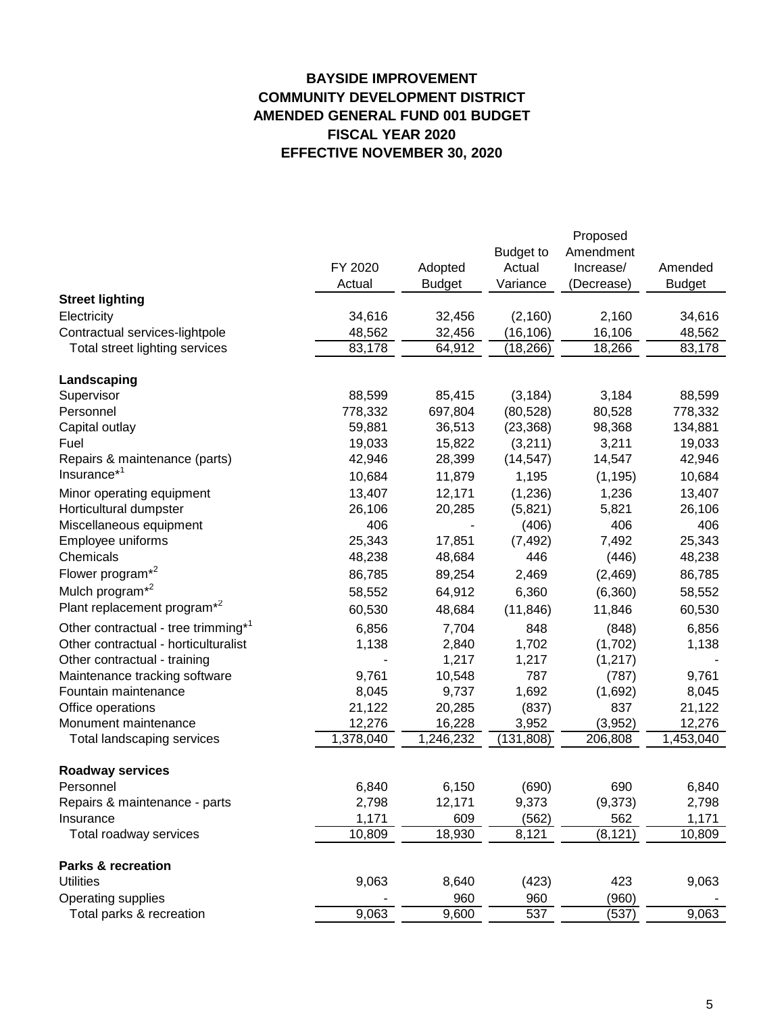# **BAYSIDE IMPROVEMENT COMMUNITY DEVELOPMENT DISTRICT AMENDED GENERAL FUND 001 BUDGET FISCAL YEAR 2020 EFFECTIVE NOVEMBER 30, 2020**

|                                                 |           |               |                  | Proposed   |               |
|-------------------------------------------------|-----------|---------------|------------------|------------|---------------|
|                                                 |           |               | <b>Budget to</b> | Amendment  |               |
|                                                 | FY 2020   | Adopted       | Actual           | Increase/  | Amended       |
|                                                 | Actual    | <b>Budget</b> | Variance         | (Decrease) | <b>Budget</b> |
| <b>Street lighting</b>                          |           |               |                  |            |               |
| Electricity                                     | 34,616    | 32,456        | (2, 160)         | 2,160      | 34,616        |
| Contractual services-lightpole                  | 48,562    | 32,456        | (16, 106)        | 16,106     | 48,562        |
| Total street lighting services                  | 83,178    | 64,912        | (18, 266)        | 18,266     | 83,178        |
| Landscaping                                     |           |               |                  |            |               |
| Supervisor                                      | 88,599    | 85,415        | (3, 184)         | 3,184      | 88,599        |
| Personnel                                       | 778,332   | 697,804       | (80, 528)        | 80,528     | 778,332       |
| Capital outlay                                  | 59,881    | 36,513        | (23, 368)        | 98,368     | 134,881       |
| Fuel                                            | 19,033    | 15,822        | (3,211)          | 3,211      | 19,033        |
| Repairs & maintenance (parts)                   | 42,946    | 28,399        | (14, 547)        | 14,547     | 42,946        |
| Insurance* <sup>1</sup>                         | 10,684    | 11,879        | 1,195            | (1, 195)   | 10,684        |
| Minor operating equipment                       | 13,407    | 12,171        | (1,236)          | 1,236      | 13,407        |
| Horticultural dumpster                          | 26,106    | 20,285        | (5,821)          | 5,821      | 26,106        |
| Miscellaneous equipment                         | 406       |               | (406)            | 406        | 406           |
| Employee uniforms                               | 25,343    | 17,851        | (7, 492)         | 7,492      | 25,343        |
| Chemicals                                       | 48,238    | 48,684        | 446              | (446)      | 48,238        |
| Flower program <sup>*2</sup>                    | 86,785    | 89,254        | 2,469            | (2,469)    | 86,785        |
| Mulch program <sup>*2</sup>                     | 58,552    | 64,912        | 6,360            | (6,360)    | 58,552        |
| Plant replacement program <sup>*2</sup>         | 60,530    | 48,684        | (11, 846)        | 11,846     | 60,530        |
| Other contractual - tree trimming* <sup>1</sup> | 6,856     | 7,704         | 848              | (848)      | 6,856         |
| Other contractual - horticulturalist            | 1,138     | 2,840         | 1,702            | (1,702)    | 1,138         |
| Other contractual - training                    |           | 1,217         | 1,217            | (1, 217)   |               |
| Maintenance tracking software                   | 9,761     | 10,548        | 787              | (787)      | 9,761         |
| Fountain maintenance                            | 8,045     | 9,737         | 1,692            | (1,692)    | 8,045         |
| Office operations                               | 21,122    | 20,285        | (837)            | 837        | 21,122        |
| Monument maintenance                            | 12,276    | 16,228        | 3,952            | (3,952)    | 12,276        |
| Total landscaping services                      | 1,378,040 | 1,246,232     | (131, 808)       | 206,808    | 1,453,040     |
| <b>Roadway services</b>                         |           |               |                  |            |               |
| Personnel                                       | 6,840     | 6,150         | (690)            | 690        | 6,840         |
| Repairs & maintenance - parts                   | 2,798     | 12,171        | 9,373            | (9,373)    | 2,798         |
| Insurance                                       | 1,171     | 609           | (562)            | 562        | 1,171         |
| Total roadway services                          | 10,809    | 18,930        | 8,121            | (8, 121)   | 10,809        |
|                                                 |           |               |                  |            |               |
| <b>Parks &amp; recreation</b>                   |           |               |                  |            |               |
| <b>Utilities</b>                                | 9,063     | 8,640         | (423)            | 423        | 9,063         |
| Operating supplies                              |           | 960           | 960              | (960)      |               |
| Total parks & recreation                        | 9,063     | 9,600         | 537              | (537)      | 9,063         |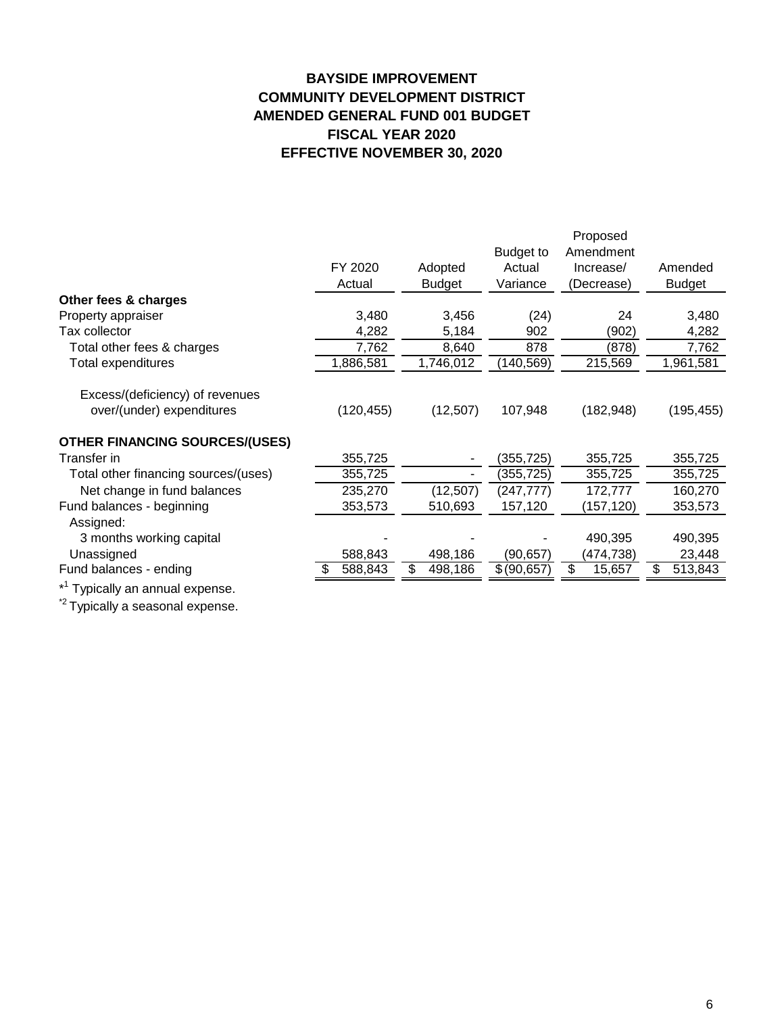# **BAYSIDE IMPROVEMENT COMMUNITY DEVELOPMENT DISTRICT AMENDED GENERAL FUND 001 BUDGET FISCAL YEAR 2020 EFFECTIVE NOVEMBER 30, 2020**

|                                             |            |                |                  | Proposed     |               |
|---------------------------------------------|------------|----------------|------------------|--------------|---------------|
|                                             |            |                | <b>Budget to</b> | Amendment    |               |
|                                             | FY 2020    | Adopted        | Actual           | Increase/    | Amended       |
|                                             | Actual     | <b>Budget</b>  | Variance         | (Decrease)   | <b>Budget</b> |
| Other fees & charges                        |            |                |                  |              |               |
| Property appraiser                          | 3,480      | 3,456          | (24)             | 24           | 3,480         |
| Tax collector                               | 4,282      | 5,184          | 902              | (902)        | 4,282         |
| Total other fees & charges                  | 7,762      | 8,640          | 878              | (878)        | 7,762         |
| Total expenditures                          | 1,886,581  | 1,746,012      | (140, 569)       | 215,569      | 1,961,581     |
|                                             |            |                |                  |              |               |
| Excess/(deficiency) of revenues             |            |                |                  |              |               |
| over/(under) expenditures                   | (120, 455) | (12, 507)      | 107,948          | (182, 948)   | (195, 455)    |
| <b>OTHER FINANCING SOURCES/(USES)</b>       |            |                |                  |              |               |
| Transfer in                                 | 355,725    | ٠              | (355,725)        | 355,725      | 355,725       |
| Total other financing sources/(uses)        | 355,725    | $\blacksquare$ | (355, 725)       | 355,725      | 355,725       |
| Net change in fund balances                 | 235,270    | (12, 507)      | (247, 777)       | 172,777      | 160,270       |
| Fund balances - beginning                   | 353,573    | 510,693        | 157,120          | (157,120)    | 353,573       |
| Assigned:                                   |            |                |                  |              |               |
| 3 months working capital                    |            |                |                  | 490,395      | 490,395       |
| Unassigned                                  | 588,843    | 498,186        | (90,657)         | (474,738)    | 23,448        |
| Fund balances - ending                      | 588,843    | \$<br>498,186  | \$ (90,657)      | \$<br>15,657 | 513,843<br>\$ |
| * <sup>1</sup> Typically an annual expense. |            |                |                  |              |               |

<sup>\*2</sup> Typically a seasonal expense.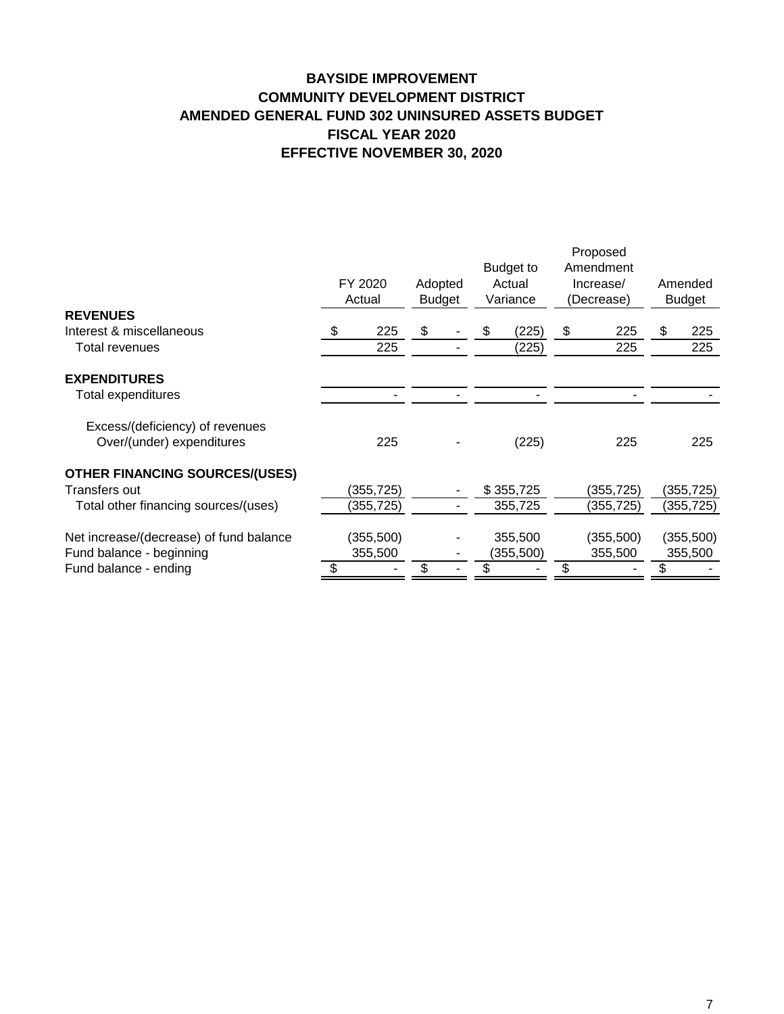# **BAYSIDE IMPROVEMENT COMMUNITY DEVELOPMENT DISTRICT AMENDED GENERAL FUND 302 UNINSURED ASSETS BUDGET FISCAL YEAR 2020 EFFECTIVE NOVEMBER 30, 2020**

| <b>REVENUES</b><br>\$<br>Interest & miscellaneous<br>\$<br>225<br>\$<br>(225)<br>S<br>\$<br>225<br>225<br>225<br>225<br>(225)<br>Total revenues<br><b>EXPENDITURES</b><br>Total expenditures<br>Excess/(deficiency) of revenues<br>Over/(under) expenditures<br>225<br>(225)<br>225<br>225<br><b>OTHER FINANCING SOURCES/(USES)</b><br>(355, 725)<br>\$355,725<br>(355, 725)<br>(355, 725)<br>Transfers out<br>Total other financing sources/(uses)<br>(355, 725)<br>355,725<br>(355,725)<br>(355,725)<br>Net increase/(decrease) of fund balance<br>(355,500)<br>355,500<br>(355,500)<br>(355,500)<br>Fund balance - beginning<br>355,500<br>355,500<br>355,500<br>(355,500)<br>\$<br>Fund balance - ending<br>\$<br>\$ | FY 2020<br>Adopted<br>Actual<br><b>Budget</b> |  |  | Budget to<br>Actual<br>Variance | Proposed<br>Amendment<br>Increase/<br>(Decrease) |  | Amended<br><b>Budget</b> |  |
|--------------------------------------------------------------------------------------------------------------------------------------------------------------------------------------------------------------------------------------------------------------------------------------------------------------------------------------------------------------------------------------------------------------------------------------------------------------------------------------------------------------------------------------------------------------------------------------------------------------------------------------------------------------------------------------------------------------------------|-----------------------------------------------|--|--|---------------------------------|--------------------------------------------------|--|--------------------------|--|
|                                                                                                                                                                                                                                                                                                                                                                                                                                                                                                                                                                                                                                                                                                                          |                                               |  |  |                                 |                                                  |  |                          |  |
|                                                                                                                                                                                                                                                                                                                                                                                                                                                                                                                                                                                                                                                                                                                          |                                               |  |  |                                 |                                                  |  |                          |  |
|                                                                                                                                                                                                                                                                                                                                                                                                                                                                                                                                                                                                                                                                                                                          |                                               |  |  |                                 |                                                  |  | 225                      |  |
|                                                                                                                                                                                                                                                                                                                                                                                                                                                                                                                                                                                                                                                                                                                          |                                               |  |  |                                 |                                                  |  |                          |  |
|                                                                                                                                                                                                                                                                                                                                                                                                                                                                                                                                                                                                                                                                                                                          |                                               |  |  |                                 |                                                  |  |                          |  |
|                                                                                                                                                                                                                                                                                                                                                                                                                                                                                                                                                                                                                                                                                                                          |                                               |  |  |                                 |                                                  |  |                          |  |
|                                                                                                                                                                                                                                                                                                                                                                                                                                                                                                                                                                                                                                                                                                                          |                                               |  |  |                                 |                                                  |  |                          |  |
|                                                                                                                                                                                                                                                                                                                                                                                                                                                                                                                                                                                                                                                                                                                          |                                               |  |  |                                 |                                                  |  |                          |  |
|                                                                                                                                                                                                                                                                                                                                                                                                                                                                                                                                                                                                                                                                                                                          |                                               |  |  |                                 |                                                  |  |                          |  |
|                                                                                                                                                                                                                                                                                                                                                                                                                                                                                                                                                                                                                                                                                                                          |                                               |  |  |                                 |                                                  |  |                          |  |
|                                                                                                                                                                                                                                                                                                                                                                                                                                                                                                                                                                                                                                                                                                                          |                                               |  |  |                                 |                                                  |  |                          |  |
|                                                                                                                                                                                                                                                                                                                                                                                                                                                                                                                                                                                                                                                                                                                          |                                               |  |  |                                 |                                                  |  |                          |  |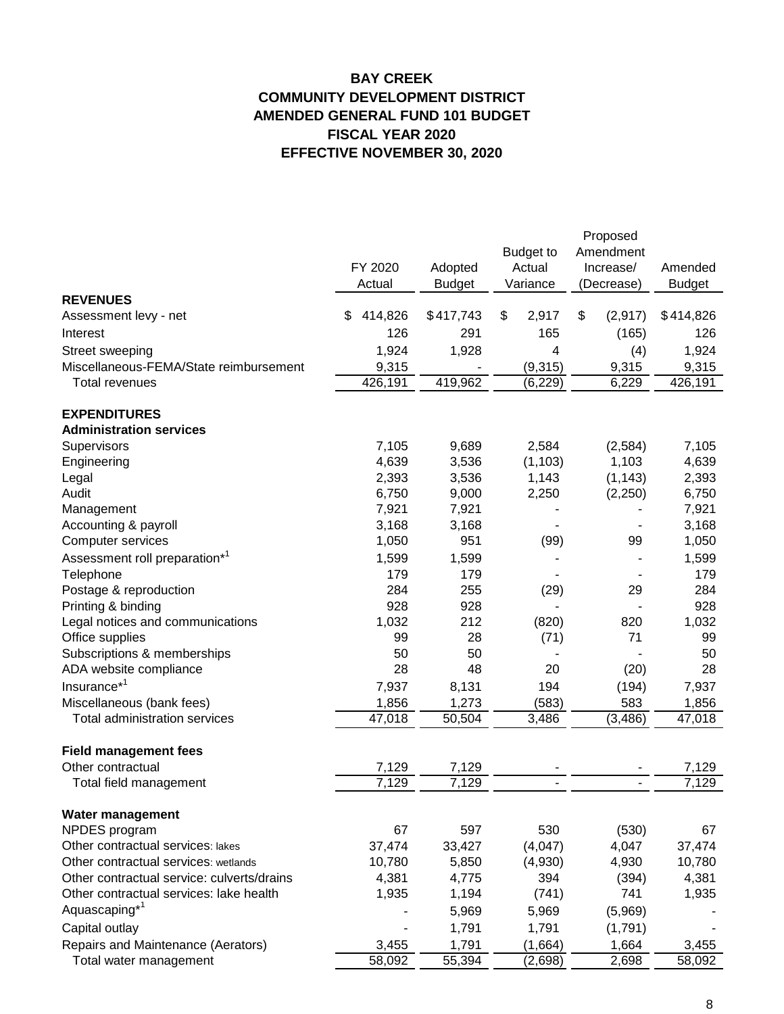# **BAY CREEK COMMUNITY DEVELOPMENT DISTRICT AMENDED GENERAL FUND 101 BUDGET FISCAL YEAR 2020 EFFECTIVE NOVEMBER 30, 2020**

|                                            | FY 2020       | Adopted       | <b>Budget to</b><br>Actual | Proposed<br>Amendment<br>Increase/ | Amended             |
|--------------------------------------------|---------------|---------------|----------------------------|------------------------------------|---------------------|
|                                            | Actual        | <b>Budget</b> | Variance                   | (Decrease)                         | <b>Budget</b>       |
| <b>REVENUES</b><br>Assessment levy - net   | 414,826<br>\$ | \$417,743     | \$<br>2,917                | (2,917)<br>\$                      | \$414,826           |
|                                            | 126           |               | 165                        |                                    |                     |
| Interest                                   |               | 291           |                            | (165)                              | 126                 |
| Street sweeping                            | 1,924         | 1,928         | 4                          | (4)                                | 1,924               |
| Miscellaneous-FEMA/State reimbursement     | 9,315         |               | (9,315)                    | 9,315                              | 9,315               |
| <b>Total revenues</b>                      | 426,191       | 419,962       | (6, 229)                   | 6,229                              | 426,191             |
| <b>EXPENDITURES</b>                        |               |               |                            |                                    |                     |
| <b>Administration services</b>             |               |               |                            |                                    |                     |
| Supervisors                                | 7,105         | 9,689         | 2,584                      | (2,584)                            | 7,105               |
| Engineering                                | 4,639         | 3,536         | (1, 103)                   | 1,103                              | 4,639               |
| Legal                                      | 2,393         | 3,536         | 1,143                      | (1, 143)                           | 2,393               |
| Audit                                      | 6,750         | 9,000         | 2,250                      | (2,250)                            | 6,750               |
| Management                                 | 7,921         | 7,921         |                            |                                    | 7,921               |
| Accounting & payroll                       | 3,168         | 3,168         |                            |                                    | 3,168               |
| Computer services                          | 1,050         | 951           | (99)                       | 99                                 | 1,050               |
| Assessment roll preparation* <sup>1</sup>  | 1,599         | 1,599         |                            |                                    | 1,599               |
| Telephone                                  | 179           | 179           |                            |                                    | 179                 |
| Postage & reproduction                     | 284           | 255           | (29)                       | 29                                 | 284                 |
| Printing & binding                         | 928           | 928           |                            |                                    | 928                 |
| Legal notices and communications           | 1,032         | 212           | (820)                      | 820                                | 1,032               |
| Office supplies                            | 99            | 28            | (71)                       | 71                                 | 99                  |
| Subscriptions & memberships                | 50            | 50            |                            |                                    | 50                  |
| ADA website compliance                     | 28            | 48            | 20                         | (20)                               | 28                  |
| Insurance <sup>*1</sup>                    | 7,937         | 8,131         | 194                        | (194)                              | 7,937               |
| Miscellaneous (bank fees)                  | 1,856         | 1,273         | (583)                      | 583                                | 1,856               |
| <b>Total administration services</b>       | 47,018        | 50,504        | 3,486                      | (3, 486)                           | 47,018              |
|                                            |               |               |                            |                                    |                     |
| <b>Field management fees</b>               |               |               |                            |                                    |                     |
| Other contractual                          | 7,129         | 7,129         |                            |                                    | 7,129               |
| Total field management                     | 7,129         | 7,129         |                            |                                    | $\overline{7}, 129$ |
| Water management                           |               |               |                            |                                    |                     |
| NPDES program                              | 67            | 597           | 530                        | (530)                              | 67                  |
| Other contractual services: lakes          | 37,474        | 33,427        | (4,047)                    | 4,047                              | 37,474              |
| Other contractual services: wetlands       | 10,780        | 5,850         | (4,930)                    | 4,930                              | 10,780              |
| Other contractual service: culverts/drains | 4,381         | 4,775         | 394                        | (394)                              | 4,381               |
| Other contractual services: lake health    | 1,935         | 1,194         | (741)                      | 741                                | 1,935               |
| Aquascaping <sup>*1</sup>                  |               |               |                            |                                    |                     |
|                                            |               | 5,969         | 5,969                      | (5,969)                            |                     |
| Capital outlay                             |               | 1,791         | 1,791                      | (1,791)                            |                     |
| Repairs and Maintenance (Aerators)         | 3,455         | 1,791         | (1,664)                    | 1,664                              | 3,455               |
| Total water management                     | 58,092        | 55,394        | (2,698)                    | 2,698                              | 58,092              |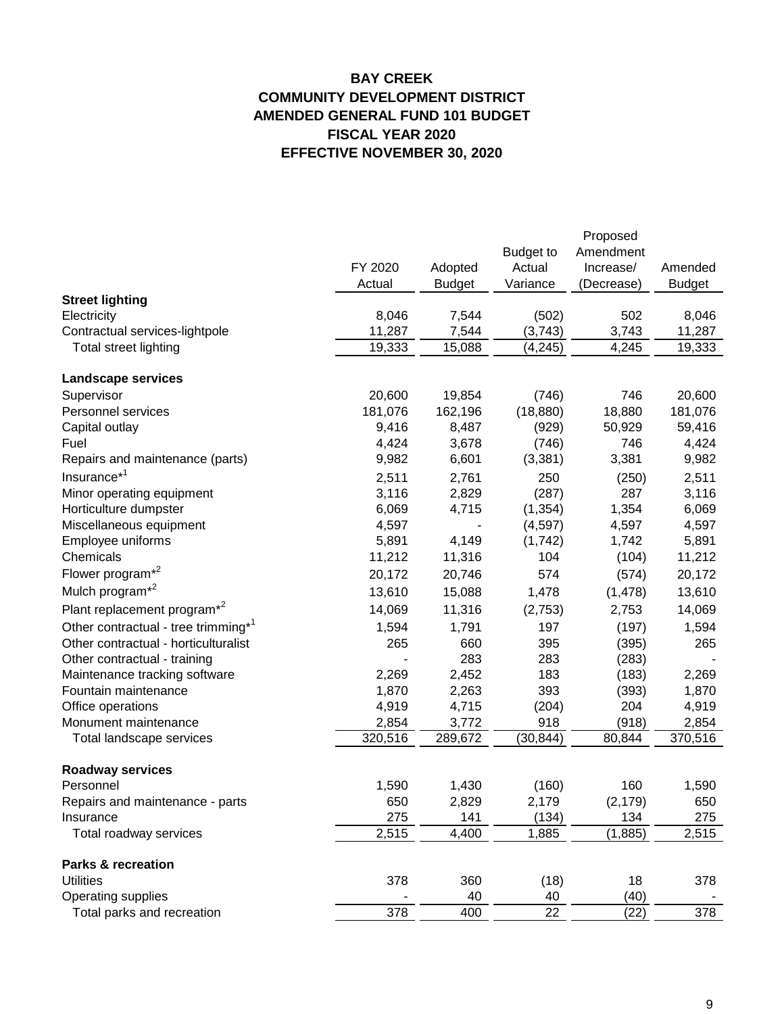# **BAY CREEK COMMUNITY DEVELOPMENT DISTRICT AMENDED GENERAL FUND 101 BUDGET FISCAL YEAR 2020 EFFECTIVE NOVEMBER 30, 2020**

|                                                 |                  |               |                  | Proposed   |                  |
|-------------------------------------------------|------------------|---------------|------------------|------------|------------------|
|                                                 |                  |               | <b>Budget to</b> | Amendment  |                  |
|                                                 | FY 2020          | Adopted       | Actual           | Increase/  | Amended          |
|                                                 | Actual           | <b>Budget</b> | Variance         | (Decrease) | <b>Budget</b>    |
| <b>Street lighting</b>                          |                  |               |                  |            |                  |
| Electricity                                     | 8,046            | 7,544         | (502)            | 502        | 8,046            |
| Contractual services-lightpole                  | 11,287           | 7,544         | (3,743)          | 3,743      | 11,287           |
| Total street lighting                           | 19,333           | 15,088        | (4, 245)         | 4,245      | 19,333           |
| <b>Landscape services</b>                       |                  |               |                  |            |                  |
| Supervisor                                      | 20,600           | 19,854        | (746)            | 746        | 20,600           |
| Personnel services                              | 181,076          | 162,196       | (18, 880)        | 18,880     | 181,076          |
| Capital outlay                                  | 9,416            | 8,487         | (929)            | 50,929     | 59,416           |
| Fuel                                            | 4,424            | 3,678         | (746)            | 746        | 4,424            |
| Repairs and maintenance (parts)                 | 9,982            | 6,601         | (3, 381)         | 3,381      | 9,982            |
| Insurance <sup>*1</sup>                         | 2,511            | 2,761         | 250              | (250)      | 2,511            |
| Minor operating equipment                       | 3,116            | 2,829         | (287)            | 287        | 3,116            |
| Horticulture dumpster                           | 6,069            | 4,715         | (1, 354)         | 1,354      | 6,069            |
| Miscellaneous equipment                         | 4,597            |               | (4,597)          | 4,597      | 4,597            |
| Employee uniforms                               | 5,891            | 4,149         | (1,742)          | 1,742      | 5,891            |
| Chemicals                                       | 11,212           | 11,316        | 104              | (104)      | 11,212           |
| Flower program <sup>*2</sup>                    | 20,172           | 20,746        | 574              | (574)      | 20,172           |
| Mulch program <sup>*2</sup>                     | 13,610           | 15,088        | 1,478            | (1, 478)   | 13,610           |
| Plant replacement program <sup>*2</sup>         | 14,069           | 11,316        | (2,753)          | 2,753      | 14,069           |
| Other contractual - tree trimming* <sup>1</sup> | 1,594            | 1,791         | 197              | (197)      | 1,594            |
| Other contractual - horticulturalist            | 265              | 660           | 395              | (395)      | 265              |
| Other contractual - training                    |                  | 283           | 283              | (283)      |                  |
| Maintenance tracking software                   | 2,269            | 2,452         | 183              | (183)      | 2,269            |
| Fountain maintenance                            | 1,870            | 2,263         | 393              | (393)      | 1,870            |
| Office operations                               | 4,919            | 4,715         | (204)            | 204        | 4,919            |
| Monument maintenance                            | 2,854            | 3,772         | 918              | (918)      | 2,854            |
| Total landscape services                        | 320,516          | 289,672       | (30, 844)        | 80,844     | 370,516          |
| <b>Roadway services</b>                         |                  |               |                  |            |                  |
| Personnel                                       | 1,590            | 1,430         | (160)            | 160        | 1,590            |
| Repairs and maintenance - parts                 | 650              | 2,829         | 2,179            | (2, 179)   | 650              |
| Insurance                                       | 275              | 141           | (134)            | 134        | 275              |
| Total roadway services                          | 2,515            | 4,400         | 1,885            | (1, 885)   | 2,515            |
| <b>Parks &amp; recreation</b>                   |                  |               |                  |            |                  |
| <b>Utilities</b>                                | 378              | 360           | (18)             | 18         | 378              |
| Operating supplies                              |                  | 40            | 40               | (40)       |                  |
| Total parks and recreation                      | $\overline{378}$ | 400           | $\overline{22}$  | (22)       | $\overline{378}$ |
|                                                 |                  |               |                  |            |                  |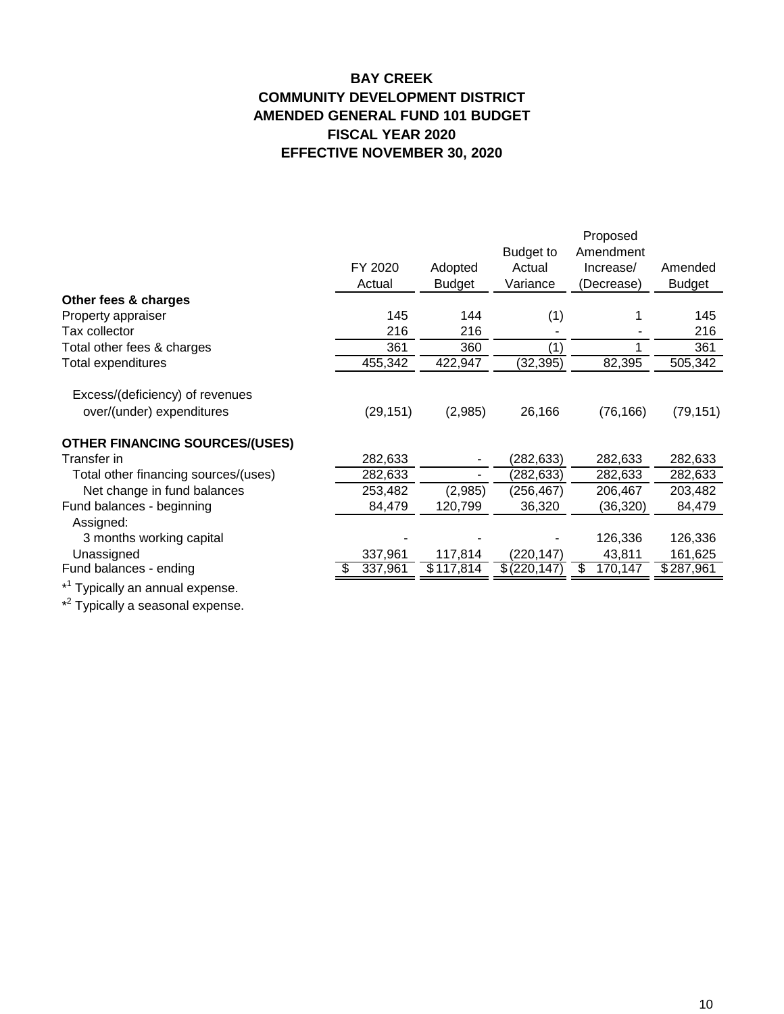# **BAY CREEK COMMUNITY DEVELOPMENT DISTRICT AMENDED GENERAL FUND 101 BUDGET FISCAL YEAR 2020 EFFECTIVE NOVEMBER 30, 2020**

|                                             |              |               |                  | Proposed      |               |
|---------------------------------------------|--------------|---------------|------------------|---------------|---------------|
|                                             |              |               | <b>Budget to</b> | Amendment     |               |
|                                             | FY 2020      | Adopted       | Actual           | Increase/     | Amended       |
|                                             | Actual       | <b>Budget</b> | Variance         | (Decrease)    | <b>Budget</b> |
| Other fees & charges                        |              |               |                  |               |               |
| Property appraiser                          | 145          | 144           | (1)              |               | 145           |
| Tax collector                               | 216          | 216           |                  |               | 216           |
| Total other fees & charges                  | 361          | 360           | (1)              |               | 361           |
| Total expenditures                          | 455,342      | 422,947       | (32, 395)        | 82,395        | 505,342       |
|                                             |              |               |                  |               |               |
| Excess/(deficiency) of revenues             |              |               |                  |               |               |
| over/(under) expenditures                   | (29, 151)    | (2,985)       | 26,166           | (76, 166)     | (79, 151)     |
| <b>OTHER FINANCING SOURCES/(USES)</b>       |              |               |                  |               |               |
| Transfer in                                 | 282,633      |               | (282,633)        | 282,633       | 282,633       |
| Total other financing sources/(uses)        | 282,633      |               | (282,633)        | 282,633       | 282,633       |
| Net change in fund balances                 | 253,482      | (2,985)       | (256, 467)       | 206,467       | 203,482       |
| Fund balances - beginning                   | 84,479       | 120,799       | 36,320           | (36, 320)     | 84,479        |
| Assigned:                                   |              |               |                  |               |               |
| 3 months working capital                    |              |               |                  | 126,336       | 126,336       |
| Unassigned                                  | 337,961      | 117,814       | (220,147)        | 43,811        | 161,625       |
| Fund balances - ending                      | 337,961<br>Ж | \$117,814     | \$(220, 147)     | 170,147<br>S. | \$287,961     |
| * <sup>1</sup> Typically an annual expense. |              |               |                  |               |               |

\*<sup>2</sup> Typically a seasonal expense.